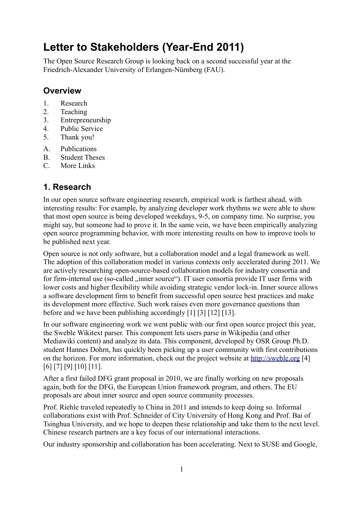# **Letter to Stakeholders (Year-End 2011)**

The Open Source Research Group is looking back on a second successful year at the Friedrich-Alexander University of Erlangen-Nürnberg (FAU).

#### **Overview**

- 1. Research
- 2. Teaching
- 3. Entrepreneurship
- 4. Public Service
- 5. Thank you!
- A. Publications
- B. Student Theses
- C. More Links

### **1. Research**

In our open source software engineering research, empirical work is farthest ahead, with interesting results: For example, by analyzing developer work rhythms we were able to show that most open source is being developed weekdays, 9-5, on company time. No surprise, you might say, but someone had to prove it. In the same vein, we have been empirically analyzing open source programming behavior, with more interesting results on how to improve tools to be published next year.

Open source is not only software, but a collaboration model and a legal framework as well. The adoption of this collaboration model in various contexts only accelerated during 2011. We are actively researching open-source-based collaboration models for industry consortia and for firm-internal use (so-called ..inner source"). IT user consortia provide IT user firms with lower costs and higher flexibility while avoiding strategic vendor lock-in. Inner source allows a software development firm to benefit from successful open source best practices and make its development more effective. Such work raises even more governance questions than before and we have been publishing accordingly [1] [3] [12] [13].

In our software engineering work we went public with our first open source project this year, the Sweble Wikitext parser. This component lets users parse in Wikipedia (and other Mediawiki content) and analyze its data. This component, developed by OSR Group Ph.D. student Hannes Dohrn, has quickly been picking up a user community with first contributions on the horizon. For more information, check out the project website at [http://sweble.org](http://sweble.org/) [4] [6] [7] [9] [10] [11].

After a first failed DFG grant proposal in 2010, we are finally working on new proposals again, both for the DFG, the European Union framework program, and others. The EU proposals are about inner source and open source community processes.

Prof. Riehle traveled repeatedly to China in 2011 and intends to keep doing so. Informal collaborations exist with Prof. Schneider of City University of Hong Kong and Prof. Bai of Tsinghua University, and we hope to deepen these relationship and take them to the next level. Chinese research partners are a key focus of our international interactions.

Our industry sponsorship and collaboration has been accelerating. Next to SUSE and Google,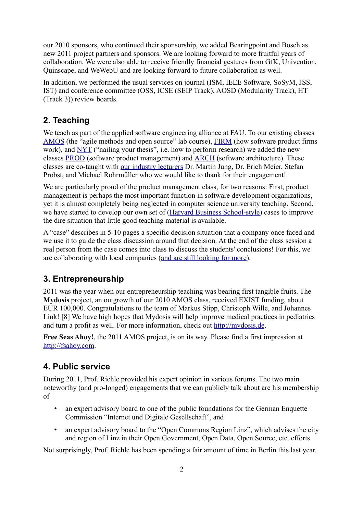our 2010 sponsors, who continued their sponsorship, we added Bearingpoint and Bosch as new 2011 project partners and sponsors. We are looking forward to more fruitful years of collaboration. We were also able to receive friendly financial gestures from GfK, Univention, Quinscape, and WeWebU and are looking forward to future collaboration as well.

In addition, we performed the usual services on journal (ISM, IEEE Software, SoSyM, JSS, IST) and conference committee (OSS, ICSE (SEIP Track), AOSD (Modularity Track), HT (Track 3)) review boards.

### **2. Teaching**

We teach as part of the applied software engineering alliance at FAU. To our existing classes [AMOS](http://osr.cs.fau.de/category/teaching/amos/) (the "agile methods and open source" lab course), [FIRM](http://osr.cs.fau.de/category/teaching/firm) (how software product firms work), and [NYT](http://osr.cs.fau.de/category/teaching/thesis/) ("nailing your thesis", i.e. how to perform research) we added the new classes [PROD](http://osr.cs.fau.de/category/teaching/prod/) (software product management) and [ARCH](http://osr.cs.fau.de/category/teaching/arch/) (software architecture). These classes are co-taught with [our industry lecturers](http://osr.cs.fau.de/2011/10/18/industry-lecturers-supporting-osr-and-pswt-teaching/) Dr. Martin Jung, Dr. Erich Meier, Stefan Probst, and Michael Rohrmüller who we would like to thank for their engagement!

We are particularly proud of the product management class, for two reasons: First, product management is perhaps the most important function in software development organizations, yet it is almost completely being neglected in computer science university teaching. Second, we have started to develop our own set of [\(Harvard Business School-style\)](http://www.hbs.edu/mba/academics/howthecasemethodworks.html) cases to improve the dire situation that little good teaching material is available.

A "case" describes in 5-10 pages a specific decision situation that a company once faced and we use it to guide the class discussion around that decision. At the end of the class session a real person from the case comes into class to discuss the students' conclusions! For this, we are collaborating with local companies [\(and are still looking for more\)](http://osr.cs.fau.de/2011/09/13/aufruf-zur-unterstutzung-berufsnaher-lehre-fur-die-softwareindustrie-mittels-case-methode/).

### **3. Entrepreneurship**

2011 was the year when our entrepreneurship teaching was bearing first tangible fruits. The **Mydosis** project, an outgrowth of our 2010 AMOS class, received EXIST funding, about EUR 100,000. Congratulations to the team of Markus Stipp, Christoph Wille, and Johannes Link! [8] We have high hopes that Mydosis will help improve medical practices in pediatrics and turn a profit as well. For more information, check out [http://mydosis.de.](http://mydosis.de/)

**Free Seas Ahoy!**, the 2011 AMOS project, is on its way. Please find a first impression at [http://fsahoy.com.](http://fsahoy.com/)

### **4. Public service**

During 2011, Prof. Riehle provided his expert opinion in various forums. The two main noteworthy (and pro-longed) engagements that we can publicly talk about are his membership of

- an expert advisory board to one of the public foundations for the German Enquette Commission "Internet und Digitale Gesellschaft", and
- an expert advisory board to the "Open Commons Region Linz", which advises the city and region of Linz in their Open Government, Open Data, Open Source, etc. efforts.

Not surprisingly, Prof. Riehle has been spending a fair amount of time in Berlin this last year.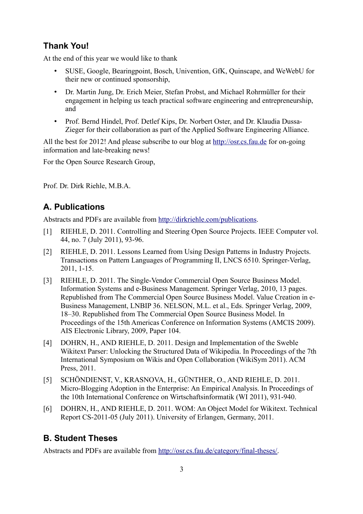# **Thank You!**

At the end of this year we would like to thank

- SUSE, Google, Bearingpoint, Bosch, Univention, GfK, Quinscape, and WeWebU for their new or continued sponsorship,
- Dr. Martin Jung, Dr. Erich Meier, Stefan Probst, and Michael Rohrmüller for their engagement in helping us teach practical software engineering and entrepreneurship, and
- Prof. Bernd Hindel, Prof. Detlef Kips, Dr. Norbert Oster, and Dr. Klaudia Dussa-Zieger for their collaboration as part of the Applied Software Engineering Alliance.

All the best for 2012! And please subscribe to our blog at [http://osr.cs.fau.de](http://osr.cs.fau.de/) for on-going information and late-breaking news!

For the Open Source Research Group,

Prof. Dr. Dirk Riehle, M.B.A.

# **A. Publications**

Abstracts and PDFs are available from [http://dirkriehle.com/publications.](http://dirkriehle.com/publications)

- [1] RIEHLE, D. 2011. Controlling and Steering Open Source Projects. IEEE Computer vol. 44, no. 7 (July 2011), 93-96.
- [2] RIEHLE, D. 2011. Lessons Learned from Using Design Patterns in Industry Projects. Transactions on Pattern Languages of Programming II, LNCS 6510. Springer-Verlag, 2011, 1-15.
- [3] RIEHLE, D. 2011. The Single-Vendor Commercial Open Source Business Model. Information Systems and e-Business Management. Springer Verlag, 2010, 13 pages. Republished from The Commercial Open Source Business Model. Value Creation in e-Business Management, LNBIP 36. NELSON, M.L. et al., Eds. Springer Verlag, 2009, 18–30. Republished from The Commercial Open Source Business Model. In Proceedings of the 15th Americas Conference on Information Systems (AMCIS 2009). AIS Electronic Library, 2009, Paper 104.
- [4] DOHRN, H., AND RIEHLE, D. 2011. Design and Implementation of the Sweble Wikitext Parser: Unlocking the Structured Data of Wikipedia. In Proceedings of the 7th International Symposium on Wikis and Open Collaboration (WikiSym 2011). ACM Press, 2011.
- [5] SCHÖNDIENST, V., KRASNOVA, H., GÜNTHER, O., AND RIEHLE, D. 2011. Micro-Blogging Adoption in the Enterprise: An Empirical Analysis. In Proceedings of the 10th International Conference on Wirtschaftsinformatik (WI 2011), 931-940.
- [6] DOHRN, H., AND RIEHLE, D. 2011. WOM: An Object Model for Wikitext. Technical Report CS-2011-05 (July 2011). University of Erlangen, Germany, 2011.

## **B. Student Theses**

Abstracts and PDFs are available from [http://osr.cs.fau.de/category/final-theses/.](http://osr.cs.fau.de/category/final-theses/)